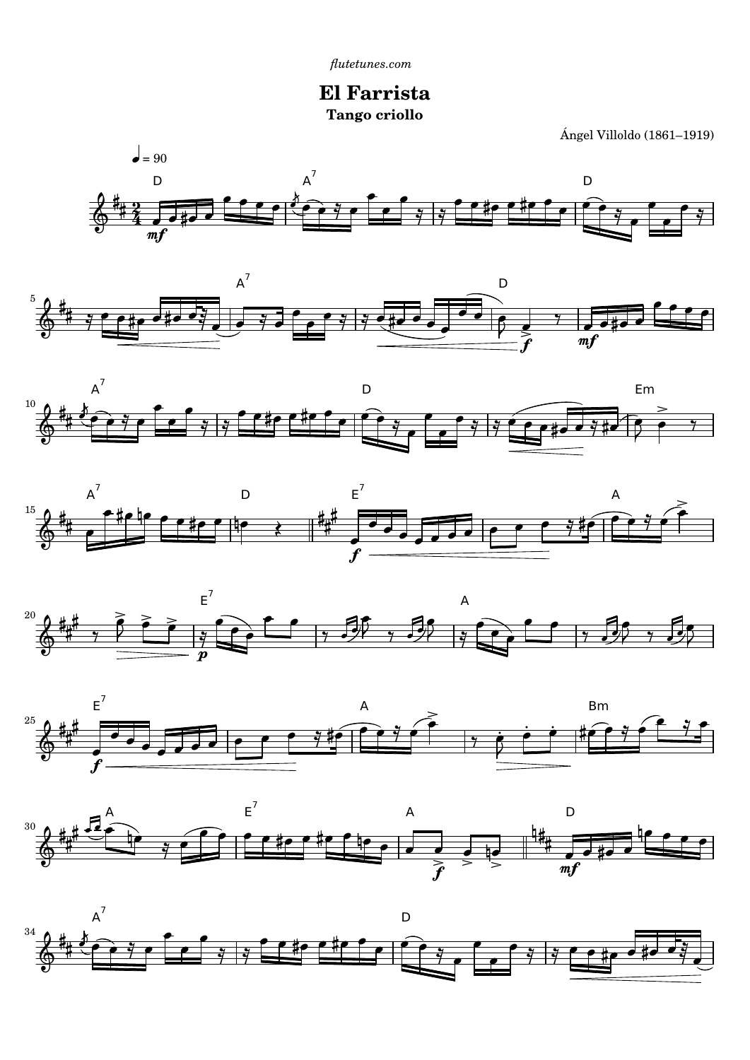**El Farrista Tango criollo**

Ángel Villoldo (1861–1919)